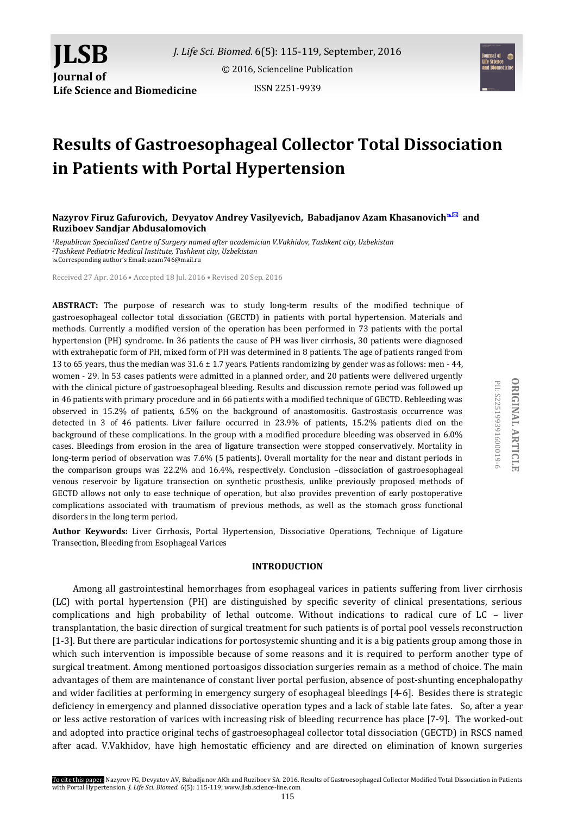



# **Results of Gastroesophageal Collector Total Dissociation in Patients with Portal Hypertension**

**Nazyrov Firuz Gafurovich, Devyatov Andrey Vasilyevich, Babadjanov Azam Khasanovich and Ruziboev Sandjar Abdusalomovich**

*<sup>1</sup>Republican Specialized Centre of Surgery named after academician V.Vakhidov, Tashkent city, Uzbekistan <sup>2</sup>Tashkent Pediatric Medical Institute, Tashkent city, Uzbekistan* Corresponding author's Email: azam746@mail.ru

Received 27 Apr. 2016 • Accepted 18 Jul. 2016 • Revised 20 Sep. 2016

**ABSTRACT:** The purpose of research was to study long-term results of the modified technique of gastroesophageal collector total dissociation (GECTD) in patients with portal hypertension. Materials and methods. Currently a modified version of the operation has been performed in 73 patients with the portal hypertension (PH) syndrome. In 36 patients the cause of PH was liver cirrhosis, 30 patients were diagnosed with extrahepatic form of PH, mixed form of PH was determined in 8 patients. The age of patients ranged from 13 to 65 years, thus the median was 31.6 ± 1.7 years. Patients randomizing by gender was as follows: men - 44, women - 29. In 53 cases patients were admitted in a planned order, and 20 patients were delivered urgently with the clinical picture of gastroesophageal bleeding. Results and discussion remote period was followed up in 46 patients with primary procedure and in 66 patients with a modified technique of GECTD. Rebleeding was observed in 15.2% of patients, 6.5% on the background of anastomositis. Gastrostasis occurrence was detected in 3 of 46 patients. Liver failure occurred in 23.9% of patients, 15.2% patients died on the background of these complications. In the group with a modified procedure bleeding was observed in 6.0% cases. Bleedings from erosion in the area of ligature transection were stopped conservatively. Mortality in long-term period of observation was 7.6% (5 patients). Overall mortality for the near and distant periods in the comparison groups was 22.2% and 16.4%, respectively. Conclusion –dissociation of gastroesophageal venous reservoir by ligature transection on synthetic prosthesis, unlike previously proposed methods of GECTD allows not only to ease technique of operation, but also provides prevention of early postoperative complications associated with traumatism of previous methods, as well as the stomach gross functional disorders in the long term period.

**Author Keywords:** Liver Cirrhosis, Portal Hypertension, Dissociative Operations, Technique of Ligature Transection, Bleeding from Esophageal Varices

# **INTRODUCTION**

Among all gastrointestinal hemorrhages from esophageal varices in patients suffering from liver cirrhosis (LC) with portal hypertension (PH) are distinguished by specific severity of clinical presentations, serious complications and high probability of lethal outcome. Without indications to radical cure of LC – liver transplantation, the basic direction of surgical treatment for such patients is of portal pool vessels reconstruction [1-3]. But there are particular indications for portosystemic shunting and it is a big patients group among those in which such intervention is impossible because of some reasons and it is required to perform another type of surgical treatment. Among mentioned portoasigos dissociation surgeries remain as a method of choice. The main advantages of them are maintenance of constant liver portal perfusion, absence of post-shunting encephalopathy and wider facilities at performing in emergency surgery of esophageal bleedings [4-6]. Besides there is strategic deficiency in emergency and planned dissociative operation types and a lack of stable late fates. So, after a year or less active restoration of varices with increasing risk of bleeding recurrence has place [7-9]. The worked-out and adopted into practice original techs of gastroesophageal collector total dissociation (GECTD) in RSCS named after acad. V.Vakhidov, have high hemostatic efficiency and are directed on elimination of known surgeries

PII: S225199391600019-6

PII: S225199391600019-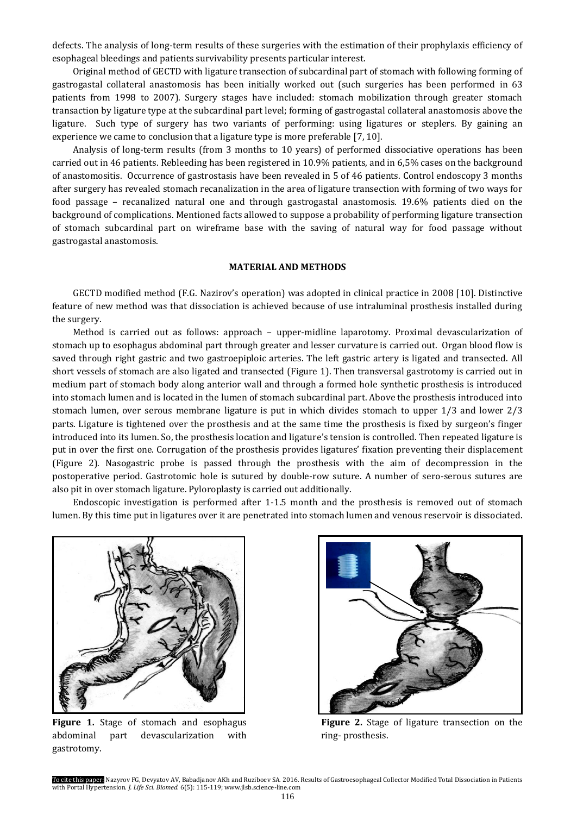defects. The analysis of long-term results of these surgeries with the estimation of their prophylaxis efficiency of esophageal bleedings and patients survivability presents particular interest.

Original method of GECTD with ligature transection of subcardinal part of stomach with following forming of gastrogastal collateral anastomosis has been initially worked out (such surgeries has been performed in 63 patients from 1998 to 2007). Surgery stages have included: stomach mobilization through greater stomach transaction by ligature type at the subcardinal part level; forming of gastrogastal collateral anastomosis above the ligature. Such type of surgery has two variants of performing: using ligatures or steplers. By gaining an experience we came to conclusion that a ligature type is more preferable [7, 10].

Analysis of long-term results (from 3 months to 10 years) of performed dissociative operations has been carried out in 46 patients. Rebleeding has been registered in 10.9% patients, and in 6,5% cases on the background of anastomositis. Occurrence of gastrostasis have been revealed in 5 of 46 patients. Control endoscopy 3 months after surgery has revealed stomach recanalization in the area of ligature transection with forming of two ways for food passage – recanalized natural one and through gastrogastal anastomosis. 19.6% patients died on the background of complications. Mentioned facts allowed to suppose a probability of performing ligature transection of stomach subcardinal part on wireframe base with the saving of natural way for food passage without gastrogastal anastomosis.

#### **MATERIAL AND METHODS**

GECTD modified method (F.G. Nazirov's operation) was adopted in clinical practice in 2008 [10]. Distinctive feature of new method was that dissociation is achieved because of use intraluminal prosthesis installed during the surgery.

Method is carried out as follows: approach – upper-midline laparotomy. Proximal devascularization of stomach up to esophagus abdominal part through greater and lesser curvature is carried out. Organ blood flow is saved through right gastric and two gastroepiploic arteries. The left gastric artery is ligated and transected. All short vessels of stomach are also ligated and transected (Figure 1). Then transversal gastrotomy is carried out in medium part of stomach body along anterior wall and through a formed hole synthetic prosthesis is introduced into stomach lumen and is located in the lumen of stomach subcardinal part. Above the prosthesis introduced into stomach lumen, over serous membrane ligature is put in which divides stomach to upper 1/3 and lower 2/3 parts. Ligature is tightened over the prosthesis and at the same time the prosthesis is fixed by surgeon's finger introduced into its lumen. So, the prosthesis location and ligature's tension is controlled. Then repeated ligature is put in over the first one. Corrugation of the prosthesis provides ligatures' fixation preventing their displacement (Figure 2). Nasogastric probe is passed through the prosthesis with the aim of decompression in the postoperative period. Gastrotomic hole is sutured by double-row suture. A number of sero-serous sutures are also pit in over stomach ligature. Pyloroplasty is carried out additionally.

Endoscopic investigation is performed after 1-1.5 month and the prosthesis is removed out of stomach lumen. By this time put in ligatures over it are penetrated into stomach lumen and venous reservoir is dissociated.



**Figure 1.** Stage of stomach and esophagus abdominal part devascularization with gastrotomy.



**Figure 2.** Stage of ligature transection on the ring- prosthesis.

To cite this paper: Nazyrov FG, Devyatov AV, Babadjanov AKh and Ruziboev SA. 2016. Results of Gastroesophageal Collector Modified Total Dissociation in Patients with Portal Hypertension. *J. Life Sci. Biomed.* 6(5): 115-119; www.jlsb.science-line.com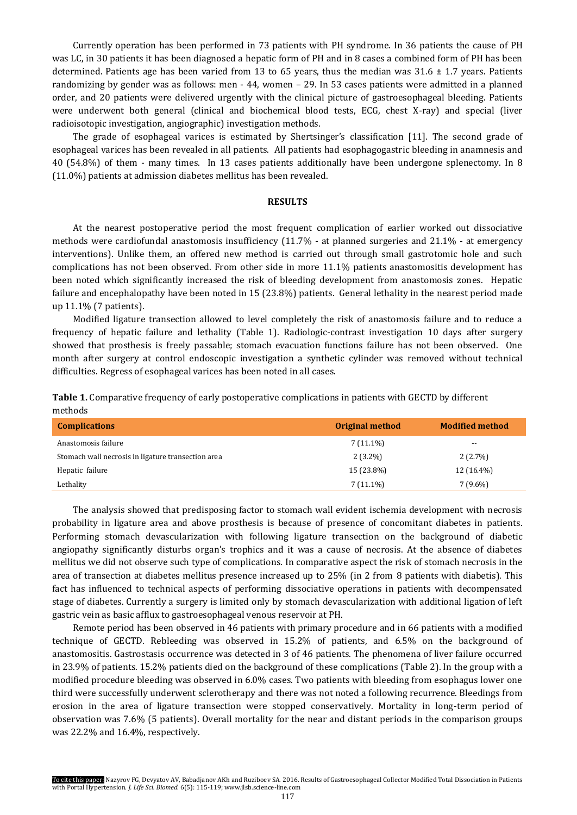Currently operation has been performed in 73 patients with PH syndrome. In 36 patients the cause of PH was LC, in 30 patients it has been diagnosed a hepatic form of PH and in 8 cases a combined form of PH has been determined. Patients age has been varied from 13 to 65 years, thus the median was  $31.6 \pm 1.7$  years. Patients randomizing by gender was as follows: men - 44, women – 29. In 53 cases patients were admitted in a planned order, and 20 patients were delivered urgently with the clinical picture of gastroesophageal bleeding. Patients were underwent both general (clinical and biochemical blood tests, ECG, chest X-ray) and special (liver radioisotopic investigation, angiographic) investigation methods.

The grade of esophageal varices is estimated by Shertsinger's classification [11]. The second grade of esophageal varices has been revealed in all patients. All patients had esophagogastric bleeding in anamnesis and 40 (54.8%) of them - many times. In 13 cases patients additionally have been undergone splenectomy. In 8 (11.0%) patients at admission diabetes mellitus has been revealed.

## **RESULTS**

At the nearest postoperative period the most frequent complication of earlier worked out dissociative methods were cardiofundal anastomosis insufficiency (11.7% - at planned surgeries and 21.1% - at emergency interventions). Unlike them, an offered new method is carried out through small gastrotomic hole and such complications has not been observed. From other side in more 11.1% patients anastomositis development has been noted which significantly increased the risk of bleeding development from anastomosis zones. Hepatic failure and encephalopathy have been noted in 15 (23.8%) patients. General lethality in the nearest period made up 11.1% (7 patients).

Modified ligature transection allowed to level completely the risk of anastomosis failure and to reduce a frequency of hepatic failure and lethality (Table 1). Radiologic-contrast investigation 10 days after surgery showed that prosthesis is freely passable; stomach evacuation functions failure has not been observed. One month after surgery at control endoscopic investigation a synthetic cylinder was removed without technical difficulties. Regress of esophageal varices has been noted in all cases.

| Table 1. Comparative frequency of early postoperative complications in patients with GECTD by different |
|---------------------------------------------------------------------------------------------------------|
| methods                                                                                                 |

| <b>Complications</b>                               | <b>Original method</b> | <b>Modified method</b> |
|----------------------------------------------------|------------------------|------------------------|
| Anastomosis failure                                | $7(11.1\%)$            | $- -$                  |
| Stomach wall necrosis in ligature transection area | $2(3.2\%)$             | $2(2.7\%)$             |
| Hepatic failure                                    | 15 (23.8%)             | 12 (16.4%)             |
| Lethality                                          | $7(11.1\%)$            | $7(9.6\%)$             |

The analysis showed that predisposing factor to stomach wall evident ischemia development with necrosis probability in ligature area and above prosthesis is because of presence of concomitant diabetes in patients. Performing stomach devascularization with following ligature transection on the background of diabetic angiopathy significantly disturbs organ's trophics and it was a cause of necrosis. At the absence of diabetes mellitus we did not observe such type of complications. In comparative aspect the risk of stomach necrosis in the area of transection at diabetes mellitus presence increased up to 25% (in 2 from 8 patients with diabetis). This fact has influenced to technical aspects of performing dissociative operations in patients with decompensated stage of diabetes. Currently a surgery is limited only by stomach devascularization with additional ligation of left gastric vein as basic afflux to gastroesophageal venous reservoir at PH.

Remote period has been observed in 46 patients with primary procedure and in 66 patients with a modified technique of GECTD. Rebleeding was observed in 15.2% of patients, and 6.5% on the background of anastomositis. Gastrostasis occurrence was detected in 3 of 46 patients. The phenomena of liver failure occurred in 23.9% of patients. 15.2% patients died on the background of these complications (Table 2). In the group with a modified procedure bleeding was observed in 6.0% cases. Two patients with bleeding from esophagus lower one third were successfully underwent sclerotherapy and there was not noted a following recurrence. Bleedings from erosion in the area of ligature transection were stopped conservatively. Mortality in long-term period of observation was 7.6% (5 patients). Overall mortality for the near and distant periods in the comparison groups was 22.2% and 16.4%, respectively.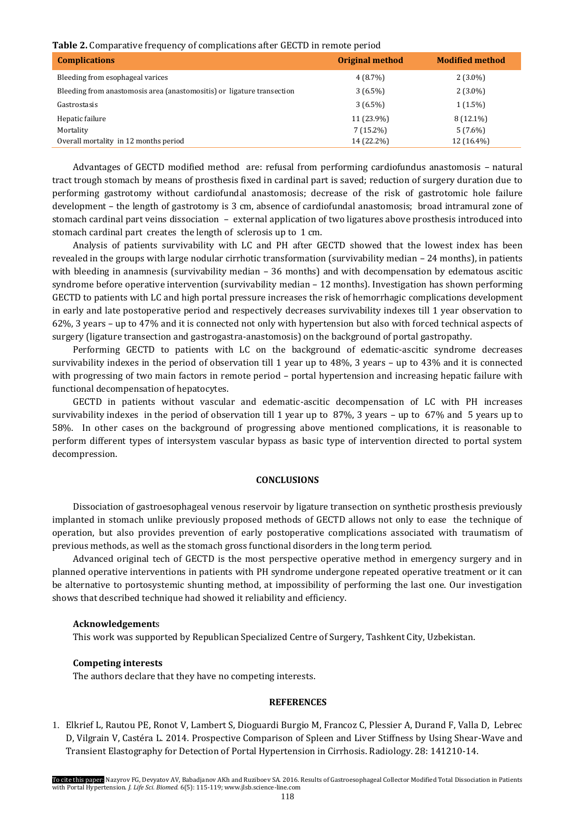#### **Table 2.** Comparative frequency of complications after GECTD in remote period

| <b>Complications</b>                                                   | <b>Original method</b> | <b>Modified method</b> |
|------------------------------------------------------------------------|------------------------|------------------------|
| Bleeding from esophageal varices                                       | $4(8.7\%)$             | $2(3.0\%)$             |
| Bleeding from anastomosis area (anastomositis) or ligature transection | $3(6.5\%)$             | $2(3.0\%)$             |
| Gastrostasis                                                           | $3(6.5\%)$             | $1(1.5\%)$             |
| Hepatic failure                                                        | 11 (23.9%)             | $8(12.1\%)$            |
| Mortality                                                              | $7(15.2\%)$            | $5(7.6\%)$             |
| Overall mortality in 12 months period                                  | 14 (22.2%)             | 12 (16.4%)             |

Advantages of GECTD modified method are: refusal from performing cardiofundus anastomosis – natural tract trough stomach by means of prosthesis fixed in cardinal part is saved; reduction of surgery duration due to performing gastrotomy without cardiofundal anastomosis; decrease of the risk of gastrotomic hole failure development – the length of gastrotomy is 3 cm, absence of cardiofundal anastomosis; broad intramural zone of stomach cardinal part veins dissociation – external application of two ligatures above prosthesis introduced into stomach cardinal part creates the length of sclerosis up to 1 cm.

Analysis of patients survivability with LC and PH after GECTD showed that the lowest index has been revealed in the groups with large nodular cirrhotic transformation (survivability median – 24 months), in patients with bleeding in anamnesis (survivability median – 36 months) and with decompensation by edematous ascitic syndrome before operative intervention (survivability median – 12 months). Investigation has shown performing GECTD to patients with LC and high portal pressure increases the risk of hemorrhagic complications development in early and late postoperative period and respectively decreases survivability indexes till 1 year observation to 62%, 3 years – up to 47% and it is connected not only with hypertension but also with forced technical aspects of surgery (ligature transection and gastrogastra-anastomosis) on the background of portal gastropathy.

Performing GECTD to patients with LC on the background of edematic-ascitic syndrome decreases survivability indexes in the period of observation till 1 year up to 48%, 3 years – up to 43% and it is connected with progressing of two main factors in remote period – portal hypertension and increasing hepatic failure with functional decompensation of hepatocytes.

GECTD in patients without vascular and edematic-ascitic decompensation of LC with PH increases survivability indexes in the period of observation till 1 year up to 87%, 3 years – up to 67% and 5 years up to 58%. In other cases on the background of progressing above mentioned complications, it is reasonable to perform different types of intersystem vascular bypass as basic type of intervention directed to portal system decompression.

#### **CONCLUSIONS**

Dissociation of gastroesophageal venous reservoir by ligature transection on synthetic prosthesis previously implanted in stomach unlike previously proposed methods of GECTD allows not only to ease the technique of operation, but also provides prevention of early postoperative complications associated with traumatism of previous methods, as well as the stomach gross functional disorders in the long term period.

Advanced original tech of GECTD is the most perspective operative method in emergency surgery and in planned operative interventions in patients with PH syndrome undergone repeated operative treatment or it can be alternative to portosystemic shunting method, at impossibility of performing the last one. Our investigation shows that described technique had showed it reliability and efficiency.

### **Acknowledgement**s

This work was supported by Republican Specialized Centre of Surgery, Tashkent City, Uzbekistan.

# **Competing interests**

The authors declare that they have no competing interests.

## **REFERENCES**

1. Elkrief L, Rautou PE, Ronot V, Lambert S, Dioguardi Burgio M, Francoz C, Plessier A, Durand F, Valla D, Lebrec D, Vilgrain V, Castéra L. 2014. [Prospective Comparison of Spleen and Liver Stiffness by Using Shear-Wave and](http://www.ncbi.nlm.nih.gov/pubmed/25469784)  [Transient Elastography for Detection of](http://www.ncbi.nlm.nih.gov/pubmed/25469784) Portal Hypertension in Cirrhosis. Radiology. 28: 141210-14.